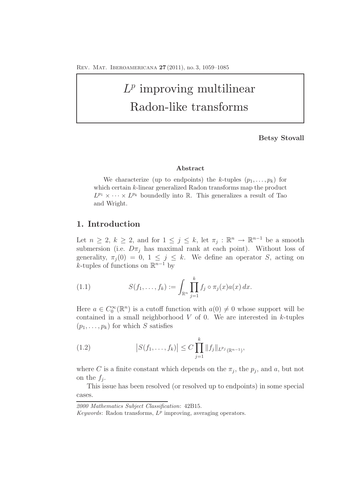# $L^p$  improving multilinear Radon-like transforms

**Betsy Stovall**

#### **Abstract**

We characterize (up to endpoints) the *k*-tuples  $(p_1, \ldots, p_k)$  for which certain *k*-linear generalized Radon transforms map the product  $L^{p_1} \times \cdots \times L^{p_k}$  boundedly into R. This generalizes a result of Tao and Wright.

# **1. Introduction**

Let  $n \geq 2$ ,  $k \geq 2$ , and for  $1 \leq j \leq k$ , let  $\pi_j : \mathbb{R}^n \to \mathbb{R}^{n-1}$  be a smooth submersion (i.e.  $D\pi_j$  has maximal rank at each point). Without loss of generality,  $\pi_i(0) = 0, 1 \leq j \leq k$ . We define an operator S, acting on k-tuples of functions on  $\mathbb{R}^{n-1}$  by

(1.1) 
$$
S(f_1, ..., f_k) := \int_{\mathbb{R}^n} \prod_{j=1}^k f_j \circ \pi_j(x) a(x) dx.
$$

Here  $a \in C_0^{\infty}(\mathbb{R}^n)$  is a cutoff function with  $a(0) \neq 0$  whose support will be contained in a small neighborhood  $V$  of 0. We are interested in  $k$ -tuples  $(p_1,\ldots,p_k)$  for which S satisfies

(1.2) 
$$
\left|S(f_1,\ldots,f_k)\right| \leq C \prod_{j=1}^k \|f_j\|_{L^{p_j}(\mathbb{R}^{n-1})},
$$

where C is a finite constant which depends on the  $\pi_j$ , the  $p_j$ , and a, but not on the  $f_i$ .

This issue has been resolved (or resolved up to endpoints) in some special cases.

*<sup>2000</sup> Mathematics Subject Classification*: 42B15.

*Keywords*: Radon transforms, *L<sup>p</sup>* improving, averaging operators.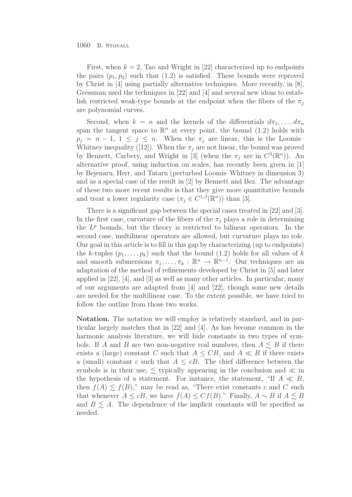First, when  $k = 2$ , Tao and Wright in [22] characterized up to endpoints the pairs  $(p_1, p_2)$  such that  $(1.2)$  is satisfied. These bounds were reproved by Christ in [4] using partially alternative techniques. More recently, in [8], Gressman used the techniques in [22] and [4] and several new ideas to establish restricted weak-type bounds at the endpoint when the fibers of the  $\pi_i$ are polynomial curves.

Second, when  $k = n$  and the kernels of the differentials  $d\pi_1, \ldots, d\pi_n$ span the tangent space to  $\mathbb{R}^n$  at every point, the bound (1.2) holds with  $p_i = n - 1, 1 \leq j \leq n$ . When the  $\pi_i$  are linear, this is the Loomis-Whitney inequality ([12]). When the  $\pi_j$  are not linear, the bound was proved by Bennett, Carbery, and Wright in [3] (when the  $\pi_j$  are in  $C^3(\mathbb{R}^n)$ ). An alternative proof, using induction on scales, has recently been given in [1] by Bejenaru, Herr, and Tataru (perturbed Loomis–Whitney in dimension 3) and as a special case of the result in [2] by Bennett and Bez. The advantage of these two more recent results is that they give more quantitative bounds and treat a lower regularity case  $(\pi_i \in C^{1,\beta}(\mathbb{R}^n))$  than [3].

There is a significant gap between the special cases treated in [22] and [3]. In the first case, curvature of the fibers of the  $\pi_i$  plays a role in determining the  $L^p$  bounds, but the theory is restricted to bilinear operators. In the second case, multilinear operators are allowed, but curvature plays no role. Our goal in this article is to fill in this gap by characterizing (up to endpoints) the k-tuples  $(p_1, \ldots, p_k)$  such that the bound (1.2) holds for all values of k and smooth submersions  $\pi_1, \ldots, \pi_k : \mathbb{R}^n \to \mathbb{R}^{n-1}$ . Our techniques are an adaptation of the method of refinements developed by Christ in [5] and later applied in [22], [4], and [3] as well as many other articles. In particular, many of our arguments are adapted from [4] and [22], though some new details are needed for the multilinear case. To the extent possible, we have tried to follow the outline from those two works.

**Notation.** The notation we will employ is relatively standard, and in particular largely matches that in [22] and [4]. As has become common in the harmonic analysis literature, we will hide constants in two types of symbols. If A and B are two non-negative real numbers, then  $A \leq B$  if there exists a (large) constant C such that  $A \leq CB$ , and  $A \ll B$  if there exists a (small) constant c such that  $A \leq cB$ . The chief difference between the symbols is in their use,  $\lesssim$  typically appearing in the conclusion and  $\ll$  in the hypothesis of a statement. For instance, the statement, "If  $A \ll B$ , then  $f(A) \leq f(B)$ ," may be read as, "There exist constants c and C such that whenever  $A \leq cB$ , we have  $f(A) \leq Cf(B)$ ." Finally,  $A \sim B$  if  $A \leq B$ and  $B \leq A$ . The dependence of the implicit constants will be specified as needed.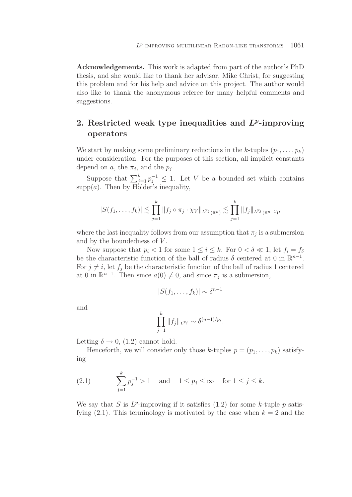**Acknowledgements.** This work is adapted from part of the author's PhD thesis, and she would like to thank her advisor, Mike Christ, for suggesting this problem and for his help and advice on this project. The author would also like to thank the anonymous referee for many helpful comments and suggestions.

# **2. Restricted weak type inequalities and** *Lp***-improving operators**

We start by making some preliminary reductions in the k-tuples  $(p_1, \ldots, p_k)$ under consideration. For the purposes of this section, all implicit constants depend on a, the  $\pi_j$ , and the  $p_j$ .

Suppose that  $\sum_{j=1}^{k} p_j^{-1} \leq 1$ . Let V be a bounded set which contains  $supp(a)$ . Then by Hölder's inequality,

$$
|S(f_1,\ldots,f_k)| \lesssim \prod_{j=1}^k \|f_j \circ \pi_j \cdot \chi_V\|_{L^{p_j}(\mathbb{R}^n)} \lesssim \prod_{j=1}^k \|f_j\|_{L^{p_j}(\mathbb{R}^{n-1})},
$$

where the last inequality follows from our assumption that  $\pi_j$  is a submersion and by the boundedness of  $V$ .

Now suppose that  $p_i < 1$  for some  $1 \leq i \leq k$ . For  $0 < \delta \ll 1$ , let  $f_i = f_\delta$ be the characteristic function of the ball of radius  $\delta$  centered at 0 in  $\mathbb{R}^{n-1}$ . For  $j \neq i$ , let  $f_j$  be the characteristic function of the ball of radius 1 centered at 0 in  $\mathbb{R}^{n-1}$ . Then since  $a(0) \neq 0$ , and since  $\pi_j$  is a submersion,

$$
|S(f_1,\ldots,f_k)| \sim \delta^{n-1}
$$

and

$$
\prod_{j=1}^k \|f_j\|_{L^{p_j}} \sim \delta^{(n-1)/p_i}.
$$

Letting  $\delta \rightarrow 0$ , (1.2) cannot hold.

Henceforth, we will consider only those k-tuples  $p = (p_1, \ldots, p_k)$  satisfying

(2.1) 
$$
\sum_{j=1}^{k} p_j^{-1} > 1 \text{ and } 1 \le p_j \le \infty \text{ for } 1 \le j \le k.
$$

We say that S is  $L^p$ -improving if it satisfies (1.2) for some k-tuple p satisfying  $(2.1)$ . This terminology is motivated by the case when  $k = 2$  and the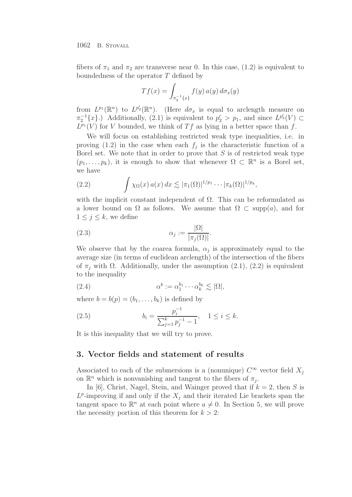1062 B. STOVALL

fibers of  $\pi_1$  and  $\pi_2$  are transverse near 0. In this case, (1.2) is equivalent to boundedness of the operator T defined by

$$
Tf(x) = \int_{\pi_2^{-1}\{x\}} f(y) \, a(y) \, d\sigma_x(y)
$$

from  $L^{p_1}(\mathbb{R}^n)$  to  $L^{p_2}(\mathbb{R}^n)$ . (Here  $d\sigma_x$  is equal to arclength measure on  $\pi_2^{-1}\lbrace x \rbrace$ .) Additionally, (2.1) is equivalent to  $p'_2 > p_1$ , and since  $L^{p'_2}(V) \subset$  $L^{p_1}(V)$  for V bounded, we think of Tf as lying in a better space than f.

We will focus on establishing restricted weak type inequalities, i.e. in proving  $(1.2)$  in the case when each  $f_j$  is the characteristic function of a Borel set. We note that in order to prove that  $S$  is of restricted weak type  $(p_1,\ldots,p_k)$ , it is enough to show that whenever  $\Omega \subset \mathbb{R}^n$  is a Borel set, we have

(2.2) 
$$
\int \chi_{\Omega}(x) a(x) dx \lesssim |\pi_1(\Omega)|^{1/p_1} \cdots |\pi_k(\Omega)|^{1/p_k},
$$

with the implicit constant independent of  $\Omega$ . This can be reformulated as a lower bound on  $\Omega$  as follows. We assume that  $\Omega \subset \text{supp}(a)$ , and for  $1 \leq j \leq k$ , we define

(2.3) 
$$
\alpha_j := \frac{|\Omega|}{|\pi_j(\Omega)|}.
$$

We observe that by the coarea formula,  $\alpha_i$  is approximately equal to the average size (in terms of euclidean arclength) of the intersection of the fibers of  $\pi_i$  with  $\Omega$ . Additionally, under the assumption (2.1), (2.2) is equivalent to the inequality

(2.4) 
$$
\alpha^b := \alpha_1^{b_1} \cdots \alpha_k^{b_k} \lesssim |\Omega|,
$$

where  $b = b(p) = (b_1, \ldots, b_k)$  is defined by

(2.5) 
$$
b_i = \frac{p_i^{-1}}{\sum_{j=1}^k p_j^{-1} - 1}, \quad 1 \le i \le k.
$$

It is this inequality that we will try to prove.

# **3. Vector fields and statement of results**

Associated to each of the submersions is a (nonunique)  $C^{\infty}$  vector field  $X_i$ on  $\mathbb{R}^n$  which is nonvanishing and tangent to the fibers of  $\pi_i$ .

In [6], Christ, Nagel, Stein, and Wainger proved that if  $k = 2$ , then S is  $L^p$ -improving if and only if the  $X_i$  and their iterated Lie brackets span the tangent space to  $\mathbb{R}^n$  at each point where  $a \neq 0$ . In Section 5, we will prove the necessity portion of this theorem for  $k > 2$ :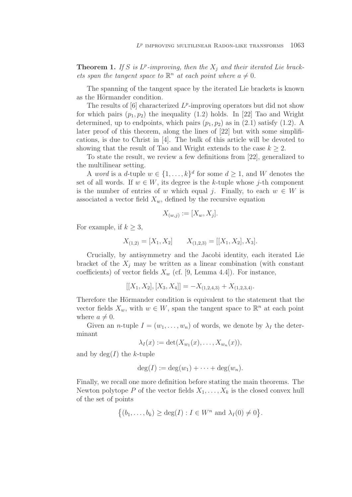**Theorem 1.** If S is  $L^p$ -improving, then the  $X_i$  and their iterated Lie brackets span the tangent space to  $\mathbb{R}^n$  at each point where  $a \neq 0$ .

The spanning of the tangent space by the iterated Lie brackets is known as the Hörmander condition.

The results of  $[6]$  characterized  $L^p$ -improving operators but did not show for which pairs  $(p_1, p_2)$  the inequality (1.2) holds. In [22] Tao and Wright determined, up to endpoints, which pairs  $(p_1, p_2)$  as in  $(2.1)$  satisfy  $(1.2)$ . A later proof of this theorem, along the lines of [22] but with some simplifications, is due to Christ in [4]. The bulk of this article will be devoted to showing that the result of Tao and Wright extends to the case  $k \geq 2$ .

To state the result, we review a few definitions from [22], generalized to the multilinear setting.

A word is a d-tuple  $w \in \{1, \ldots, k\}^d$  for some  $d \geq 1$ , and W denotes the set of all words. If  $w \in W$ , its degree is the k-tuple whose j-th component is the number of entries of w which equal j. Finally, to each  $w \in W$  is associated a vector field  $X_w$ , defined by the recursive equation

$$
X_{(w,j)} := [X_w, X_j].
$$

For example, if  $k \geq 3$ ,

$$
X_{(1,2)} = [X_1, X_2] \qquad X_{(1,2,3)} = [[X_1, X_2], X_3].
$$

Crucially, by antisymmetry and the Jacobi identity, each iterated Lie bracket of the  $X_i$  may be written as a linear combination (with constant coefficients) of vector fields  $X_w$  (cf. [9, Lemma 4.4]). For instance,

$$
[[X_1, X_2], [X_3, X_4]] = -X_{(1,2,4,3)} + X_{(1,2,3,4)}.
$$

Therefore the Hörmander condition is equivalent to the statement that the vector fields  $X_w$ , with  $w \in W$ , span the tangent space to  $\mathbb{R}^n$  at each point where  $a \neq 0$ .

Given an *n*-tuple  $I = (w_1, \ldots, w_n)$  of words, we denote by  $\lambda_I$  the determinant

$$
\lambda_I(x) := \det(X_{w_1}(x), \dots, X_{w_n}(x)),
$$

and by  $\deg(I)$  the k-tuple

$$
\deg(I) := \deg(w_1) + \cdots + \deg(w_n).
$$

Finally, we recall one more definition before stating the main theorems. The Newton polytope P of the vector fields  $X_1, \ldots, X_k$  is the closed convex hull of the set of points

$$
\{(b_1,\ldots,b_k)\geq \deg(I): I\in W^n \text{ and } \lambda_I(0)\neq 0\}.
$$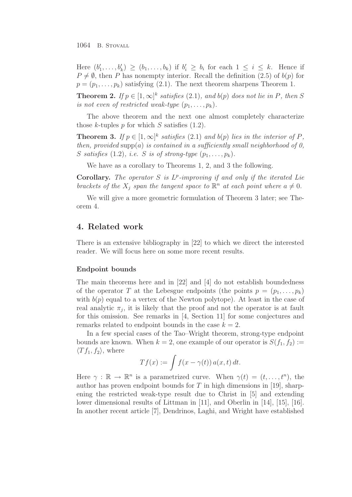1064 B. STOVALL

Here  $(b'_1,\ldots,b'_k) \ge (b_1,\ldots,b_k)$  if  $b'_i \ge b_i$  for each  $1 \le i \le k$ . Hence if  $P \neq \emptyset$ , then P has nonempty interior. Recall the definition (2.5) of  $b(p)$  for  $p = (p_1, \ldots, p_k)$  satisfying (2.1). The next theorem sharpens Theorem 1.

**Theorem 2.** If  $p \in [1,\infty]^k$  satisfies (2.1), and  $b(p)$  does not lie in P, then S is not even of restricted weak-type  $(p_1, \ldots, p_k)$ .

The above theorem and the next one almost completely characterize those k-tuples  $p$  for which  $S$  satisfies (1.2).

**Theorem 3.** If  $p \in [1,\infty]^k$  satisfies (2.1) and  $b(p)$  lies in the interior of P, then, provided supp(a) is contained in a sufficiently small neighborhood of 0, S satisfies (1.2), i.e. S is of strong-type  $(p_1, \ldots, p_k)$ .

We have as a corollary to Theorems 1, 2, and 3 the following.

**Corollary.** The operator S is  $L^p$ -improving if and only if the iterated Lie brackets of the  $X_i$  span the tangent space to  $\mathbb{R}^n$  at each point where  $a \neq 0$ .

We will give a more geometric formulation of Theorem 3 later; see Theorem 4.

#### **4. Related work**

There is an extensive bibliography in [22] to which we direct the interested reader. We will focus here on some more recent results.

#### **Endpoint bounds**

The main theorems here and in [22] and [4] do not establish boundedness of the operator T at the Lebesgue endpoints (the points  $p = (p_1, \ldots, p_k)$ ) with  $b(p)$  equal to a vertex of the Newton polytope). At least in the case of real analytic  $\pi_i$ , it is likely that the proof and not the operator is at fault for this omission. See remarks in [4, Section 11] for some conjectures and remarks related to endpoint bounds in the case  $k = 2$ .

In a few special cases of the Tao–Wright theorem, strong-type endpoint bounds are known. When  $k = 2$ , one example of our operator is  $S(f_1, f_2) :=$  $\langle Tf_1, f_2 \rangle$ , where

$$
Tf(x) := \int f(x - \gamma(t)) a(x, t) dt.
$$

Here  $\gamma : \mathbb{R} \to \mathbb{R}^n$  is a parametrized curve. When  $\gamma(t)=(t, \ldots, t^n)$ , the author has proven endpoint bounds for T in high dimensions in [19], sharpening the restricted weak-type result due to Christ in [5] and extending lower dimensional results of Littman in [11], and Oberlin in [14], [15], [16]. In another recent article [7], Dendrinos, Laghi, and Wright have established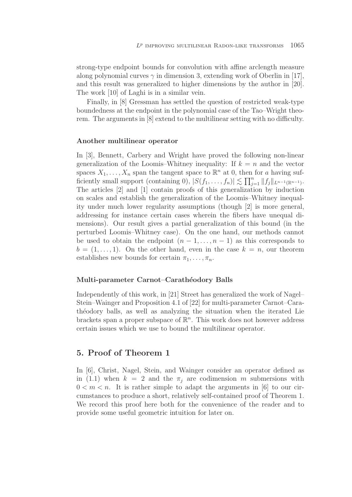strong-type endpoint bounds for convolution with affine arclength measure along polynomial curves  $\gamma$  in dimension 3, extending work of Oberlin in [17], and this result was generalized to higher dimensions by the author in [20]. The work [10] of Laghi is in a similar vein.

Finally, in [8] Gressman has settled the question of restricted weak-type boundedness at the endpoint in the polynomial case of the Tao–Wright theorem. The arguments in [8] extend to the multilinear setting with no difficulty.

#### **Another multilinear operator**

In [3], Bennett, Carbery and Wright have proved the following non-linear generalization of the Loomis–Whitney inequality: If  $k = n$  and the vector spaces  $X_1, \ldots, X_n$  span the tangent space to  $\mathbb{R}^n$  at 0, then for a having sufficiently small support (containing 0),  $|S(f_1,\ldots,f_n)| \lesssim \prod_{j=1}^n ||f_j||_{L^{n-1}(\mathbb{R}^{n-1})}$ . The articles [2] and [1] contain proofs of this generalization by induction on scales and establish the generalization of the Loomis–Whitney inequality under much lower regularity assumptions (though [2] is more general, addressing for instance certain cases wherein the fibers have unequal dimensions). Our result gives a partial generalization of this bound (in the perturbed Loomis–Whitney case). On the one hand, our methods cannot be used to obtain the endpoint  $(n-1,\ldots,n-1)$  as this corresponds to  $b = (1, \ldots, 1)$ . On the other hand, even in the case  $k = n$ , our theorem establishes new bounds for certain  $\pi_1, \ldots, \pi_n$ .

#### Multi-parameter Carnot–Carathéodory Balls

Independently of this work, in [21] Street has generalized the work of Nagel– Stein–Wainger and Proposition 4.1 of [22] for multi-parameter Carnot–Carath´eodory balls, as well as analyzing the situation when the iterated Lie brackets span a proper subspace of  $\mathbb{R}^n$ . This work does not however address certain issues which we use to bound the multilinear operator.

# **5. Proof of Theorem 1**

In [6], Christ, Nagel, Stein, and Wainger consider an operator defined as in (1.1) when  $k = 2$  and the  $\pi_i$  are codimension m submersions with  $0 < m < n$ . It is rather simple to adapt the arguments in [6] to our circumstances to produce a short, relatively self-contained proof of Theorem 1. We record this proof here both for the convenience of the reader and to provide some useful geometric intuition for later on.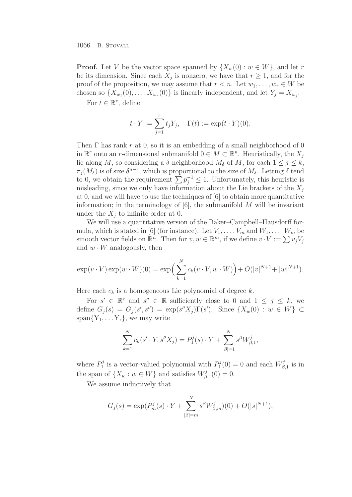1066 B. STOVALL

**Proof.** Let V be the vector space spanned by  $\{X_w(0): w \in W\}$ , and let r be its dimension. Since each  $X_i$  is nonzero, we have that  $r \geq 1$ , and for the proof of the proposition, we may assume that  $r < n$ . Let  $w_1, \ldots, w_r \in W$  be chosen so  $\{X_{w_1}(0),\ldots,X_{w_r}(0)\}\$ is linearly independent, and let  $Y_j = X_{w_j}$ .

For  $t \in \mathbb{R}^r$ , define

$$
t \cdot Y := \sum_{j=1}^r t_j Y_j, \quad \Gamma(t) := \exp(t \cdot Y)(0).
$$

Then  $\Gamma$  has rank r at 0, so it is an embedding of a small neighborhood of 0 in  $\mathbb{R}^r$  onto an r-dimensional submanifold  $0 \in M \subset \mathbb{R}^n$ . Heuristically, the  $X_i$ lie along M, so considering a  $\delta$ -neighborhood  $M_{\delta}$  of M, for each  $1 \leq j \leq k$ ,  $\pi_j(M_\delta)$  is of size  $\delta^{n-r}$ , which is proportional to the size of  $M_\delta$ . Letting  $\delta$  tend to 0, we obtain the requirement  $\sum p_i^{-1} \leq 1$ . Unfortunately, this heuristic is misleading, since we only have information about the Lie brackets of the  $X_i$ at 0, and we will have to use the techniques of [6] to obtain more quantitative information; in the terminology of  $[6]$ , the submanifold M will be invariant under the  $X_i$  to infinite order at 0.

We will use a quantitative version of the Baker–Campbell–Hausdorff formula, which is stated in [6] (for instance). Let  $V_1, \ldots, V_m$  and  $W_1, \ldots, W_m$  be smooth vector fields on  $\mathbb{R}^n$ . Then for  $v, w \in \mathbb{R}^m$ , if we define  $v \cdot V := \sum v_j V_j$ and  $w \cdot W$  analogously, then

$$
\exp(v \cdot V) \exp(w \cdot W)(0) = \exp\left(\sum_{k=1}^{N} c_k(v \cdot V, w \cdot W)\right) + O(|v|^{N+1} + |w|^{N+1}).
$$

Here each  $c_k$  is a homogeneous Lie polynomial of degree k.

For  $s' \in \mathbb{R}^r$  and  $s'' \in \mathbb{R}$  sufficiently close to 0 and  $1 \leq j \leq k$ , we define  $G_j(s) = G_j(s', s'') = \exp(s''X_j) \Gamma(s')$ . Since  $\{X_w(0) : w \in W\} \subset$  $span{Y_1, \ldots Y_r}$ , we may write

$$
\sum_{k=1}^{N} c_k(s' \cdot Y, s''X_j) = P_1^j(s) \cdot Y + \sum_{|\beta|=1}^{N} s^{\beta} W_{\beta,1}^j,
$$

where  $P_1^j$  is a vector-valued polynomial with  $P_1^j(0) = 0$  and each  $W_{\beta,1}^j$  is in the span of  $\{X_w : w \in W\}$  and satisfies  $W_{\beta,1}^j(0) = 0$ .

We assume inductively that

$$
G_j(s) = \exp(P_m^j(s) \cdot Y + \sum_{|\beta|=m}^N s^{\beta} W_{\beta,m}^j)(0) + O(|s|^{N+1}),
$$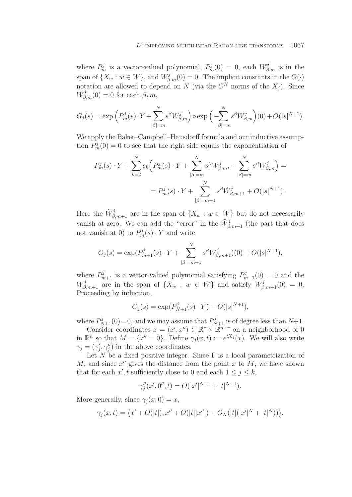where  $P_m^j$  is a vector-valued polynomial,  $P_m^j(0) = 0$ , each  $W_{\beta,m}^j$  is in the span of  $\{X_w : w \in W\}$ , and  $W_{\beta,m}^j(0) = 0$ . The implicit constants in the  $O(\cdot)$ notation are allowed to depend on N (via the  $C^N$  norms of the  $X_j$ ). Since  $W_{\beta,m}^j(0) = 0$  for each  $\beta, m$ ,

$$
G_j(s) = \exp\left(P_m^j(s) \cdot Y + \sum_{|\beta|=m}^N s^{\beta} W_{\beta,m}^j\right) \circ \exp\left(-\sum_{|\beta|=m}^N s^{\beta} W_{\beta,m}^j\right)(0) + O(|s|^{N+1}).
$$

We apply the Baker–Campbell–Hausdorff formula and our inductive assumption  $P_m^j(0) = 0$  to see that the right side equals the exponentiation of

$$
P_m^j(s) \cdot Y + \sum_{k=2}^N c_k \left( P_m^j(s) \cdot Y + \sum_{|\beta|=m}^N s^{\beta} W_{\beta,m}^j - \sum_{|\beta|=m}^N s^{\beta} W_{\beta,m}^j \right) =
$$
  
= 
$$
P_m^j(s) \cdot Y + \sum_{|\beta|=m+1}^N s^{\beta} \tilde{W}_{\beta,m+1}^j + O(|s|^{N+1}).
$$

Here the  $\tilde{W}^j_{\beta,m+1}$  are in the span of  $\{X_w : w \in W\}$  but do not necessarily vanish at zero. We can add the "error" in the  $\tilde{W}^{j}_{\beta,m+1}$  (the part that does not vanish at 0) to  $P_m^j(s) \cdot Y$  and write

$$
G_j(s) = \exp(P_{m+1}^j(s) \cdot Y + \sum_{|\beta|=m+1}^N s^{\beta} W_{\beta,m+1}^j)(0) + O(|s|^{N+1}),
$$

where  $P_{m+1}^j$  is a vector-valued polynomial satisfying  $P_{m+1}^j(0) = 0$  and the  $W_{\beta,m+1}^j$  are in the span of  $\{X_w : w \in W\}$  and satisfy  $W_{\beta,m+1}^j(0) = 0$ . Proceeding by induction,

$$
G_j(s) = \exp(P_{N+1}^j(s) \cdot Y) + O(|s|^{N+1}),
$$

where  $P_{N+1}^{j}(0) = 0$ , and we may assume that  $P_{N+1}^{j}$  is of degree less than  $N+1$ .

Consider coordinates  $x = (x', x'') \in \mathbb{R}^r \times \mathbb{R}^{n-r}$  on a neighborhood of 0 in  $\mathbb{R}^n$  so that  $M = \{x'' = 0\}$ . Define  $\gamma_i(x, t) := e^{tX_i}(x)$ . We will also write  $\gamma_j = (\gamma'_j, \gamma''_j)$  in the above coordinates.

Let N be a fixed positive integer. Since  $\Gamma$  is a local parametrization of M, and since  $x''$  gives the distance from the point x to M, we have shown that for each  $x'$ , t sufficiently close to 0 and each  $1 \le j \le k$ ,

$$
\gamma_j''(x',0'',t) = O(|x'|^{N+1} + |t|^{N+1}).
$$

More generally, since  $\gamma_i(x, 0) = x$ ,

$$
\gamma_j(x,t) = (x' + O(|t|), x'' + O(|t| |x''|) + O_N(|t|(|x'|^N + |t|^N))).
$$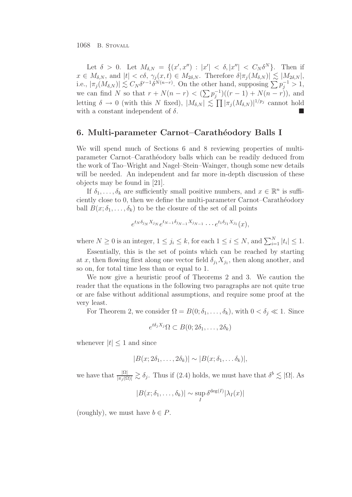1068 B. STOVALL

Let  $\delta > 0$ . Let  $M_{\delta, N} = \{ (x', x'') : |x'| < \delta, |x''| < C_N \delta^N \}.$  Then if  $x \in M_{\delta,N}$ , and  $|t| < c\delta$ ,  $\gamma_j(x,t) \in M_{2\delta,N}$ . Therefore  $\delta |\pi_j(M_{\delta,N})| \lesssim |M_{2\delta,N}|$ , i.e.,  $|\pi_j(M_{\delta,N})| \lesssim C_N \delta^{r-1} \delta^{N(n-r)}$ . On the other hand, supposing  $\sum p_j^{-1} > 1$ , we can find N so that  $r + N(n - r) < (\sum p_i^{-1})((r - 1) + N(n - r))$ , and letting  $\delta \to 0$  (with this N fixed),  $|M_{\delta,N}| \lesssim \prod |\pi_j(M_{\delta,N})|^{1/p_j}$  cannot hold with a constant independent of  $\delta$ .

# **6. Multi-parameter Carnot–Carath´eodory Balls I**

We will spend much of Sections 6 and 8 reviewing properties of multiparameter Carnot–Carath´eodory balls which can be readily deduced from the work of Tao–Wright and Nagel–Stein–Wainger, though some new details will be needed. An independent and far more in-depth discussion of these objects may be found in [21].

If  $\delta_1,\ldots,\delta_k$  are sufficiently small positive numbers, and  $x \in \mathbb{R}^n$  is sufficiently close to 0, then we define the multi-parameter Carnot–Carathéodory ball  $B(x; \delta_1, \ldots, \delta_k)$  to be the closure of the set of all points

$$
e^{t_N \delta_{j_N} X_{j_N}} e^{t_{N-1} \delta_{j_{N-1}} X_{j_{N-1}}} \cdots e^{t_1 \delta_{j_1} X_{j_1}}(x),
$$

where  $N \ge 0$  is an integer,  $1 \le j_i \le k$ , for each  $1 \le i \le N$ , and  $\sum_{i=1}^{N} |t_i| \le 1$ .

Essentially, this is the set of points which can be reached by starting at x, then flowing first along one vector field  $\delta_{j_1}X_{j_1}$ , then along another, and so on, for total time less than or equal to 1.

We now give a heuristic proof of Theorems 2 and 3. We caution the reader that the equations in the following two paragraphs are not quite true or are false without additional assumptions, and require some proof at the very least.

For Theorem 2, we consider  $\Omega = B(0; \delta_1, \ldots, \delta_k)$ , with  $0 < \delta_j \ll 1$ . Since

$$
e^{t\delta_j X_j} \Omega \subset B(0; 2\delta_1, \ldots, 2\delta_k)
$$

whenever  $|t| < 1$  and since

$$
|B(x; 2\delta_1, \ldots, 2\delta_k)| \sim |B(x; \delta_1, \ldots, \delta_k)|,
$$

we have that  $\frac{|\Omega|}{|\pi_j(\Omega)|} \gtrsim \delta_j$ . Thus if (2.4) holds, we must have that  $\delta^b \lesssim |\Omega|$ . As

$$
|B(x; \delta_1, \dots, \delta_k)| \sim \sup_I \delta^{\deg(I)} |\lambda_I(x)|
$$

(roughly), we must have  $b \in P$ .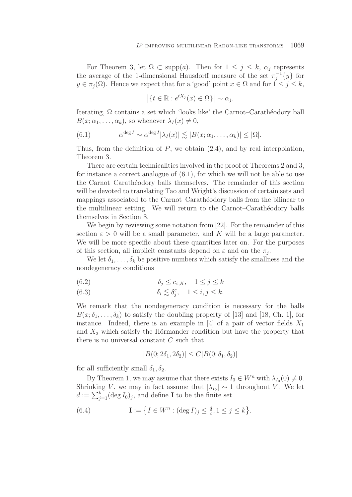For Theorem 3, let  $\Omega \subset \text{supp}(a)$ . Then for  $1 \leq j \leq k$ ,  $\alpha_j$  represents the average of the 1-dimensional Hausdorff measure of the set  $\pi_i^{-1}{y}$  for  $y \in \pi_i(\Omega)$ . Hence we expect that for a 'good' point  $x \in \Omega$  and for  $1 \leq j \leq k$ ,

$$
\left| \{ t \in \mathbb{R} : e^{tX_j}(x) \in \Omega \} \right| \sim \alpha_j.
$$

Iterating,  $\Omega$  contains a set which 'looks like' the Carnot–Carathéodory ball  $B(x; \alpha_1, \ldots, \alpha_k)$ , so whenever  $\lambda_I(x) \neq 0$ ,

(6.1) 
$$
\alpha^{\deg I} \sim \alpha^{\deg I} |\lambda_I(x)| \lesssim |B(x; \alpha_1, \dots, \alpha_k)| \leq |\Omega|.
$$

Thus, from the definition of  $P$ , we obtain  $(2.4)$ , and by real interpolation, Theorem 3.

There are certain technicalities involved in the proof of Theorems 2 and 3, for instance a correct analogue of (6.1), for which we will not be able to use the Carnot–Caratheodory balls themselves. The remainder of this section will be devoted to translating Tao and Wright's discussion of certain sets and mappings associated to the Carnot–Carathéodory balls from the bilinear to the multilinear setting. We will return to the Carnot–Carathéodory balls themselves in Section 8.

We begin by reviewing some notation from [22]. For the remainder of this section  $\varepsilon > 0$  will be a small parameter, and K will be a large parameter. We will be more specific about these quantities later on. For the purposes of this section, all implicit constants depend on  $\varepsilon$  and on the  $\pi_i$ .

We let  $\delta_1,\ldots,\delta_k$  be positive numbers which satisfy the smallness and the nondegeneracy conditions

(6.2) 
$$
\delta_j \leq c_{\varepsilon,K}, \quad 1 \leq j \leq k
$$

(6.3) 
$$
\delta_i \lesssim \delta_i^{\varepsilon}, \quad 1 \leq i, j \leq k.
$$

We remark that the nondegeneracy condition is necessary for the balls  $B(x; \delta_1, \ldots, \delta_k)$  to satisfy the doubling property of [13] and [18, Ch. 1], for instance. Indeed, there is an example in [4] of a pair of vector fields  $X_1$ and  $X_2$  which satisfy the Hörmander condition but have the property that there is no universal constant C such that

$$
|B(0; 2\delta_1, 2\delta_2)| \le C|B(0; \delta_1, \delta_2)|
$$

for all sufficiently small  $\delta_1, \delta_2$ .

By Theorem 1, we may assume that there exists  $I_0 \in W^n$  with  $\lambda_{I_0}(0) \neq 0$ . Shrinking V, we may in fact assume that  $|\lambda_{I_0}| \sim 1$  throughout V. We let  $d := \sum_{j=1}^{k} (\deg I_0)_j$ , and define **I** to be the finite set

(6.4) 
$$
\mathbf{I} := \left\{ I \in W^n : (\deg I)_j \leq \frac{d}{\varepsilon}, 1 \leq j \leq k \right\}.
$$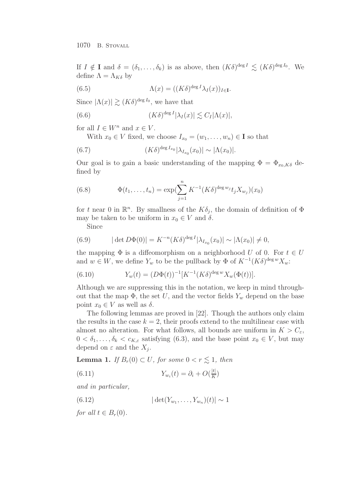If  $I \notin \mathbf{I}$  and  $\delta = (\delta_1, \ldots, \delta_k)$  is as above, then  $(K\delta)^{\deg I} \lesssim (K\delta)^{\deg I_0}$ . We define  $\Lambda = \Lambda_{K\delta}$  by

(6.5) 
$$
\Lambda(x) = ((K\delta)^{\deg I} \lambda_I(x))_{I \in \mathbf{I}}.
$$

Since  $|\Lambda(x)| \gtrsim (K\delta)^{\deg I_0}$ , we have that

(6.6) 
$$
(K\delta)^{\deg I} |\lambda_I(x)| \lesssim C_I |\Lambda(x)|,
$$

for all  $I \in W^n$  and  $x \in V$ .

With  $x_0 \in V$  fixed, we choose  $I_{x_0} = (w_1, \ldots, w_n) \in \mathbf{I}$  so that

(6.7) 
$$
(K\delta)^{\deg I_{x_0}} |\lambda_{I_{x_0}}(x_0)| \sim |\Lambda(x_0)|.
$$

Our goal is to gain a basic understanding of the mapping  $\Phi = \Phi_{x_0,K\delta}$  defined by

(6.8) 
$$
\Phi(t_1,\ldots,t_n) = \exp(\sum_{j=1}^n K^{-1}(K\delta)^{\deg w_j} t_j X_{w_j})(x_0)
$$

for t near 0 in  $\mathbb{R}^n$ . By smallness of the  $K\delta_i$ , the domain of definition of  $\Phi$ may be taken to be uniform in  $x_0 \in V$  and  $\delta$ .

Since

(6.9) 
$$
|\det D\Phi(0)| = K^{-n}(K\delta)^{\deg I} |\lambda_{I_{x_0}}(x_0)| \sim |\Lambda(x_0)| \neq 0,
$$

the mapping  $\Phi$  is a diffeomorphism on a neighborhood U of 0. For  $t \in U$ and  $w \in W$ , we define  $Y_w$  to be the pullback by  $\Phi$  of  $K^{-1}(K\delta)^{\deg w}X_w$ :

(6.10) 
$$
Y_w(t) = (D\Phi(t))^{-1}[K^{-1}(K\delta)^{\deg w}X_w(\Phi(t))].
$$

Although we are suppressing this in the notation, we keep in mind throughout that the map  $\Phi$ , the set U, and the vector fields  $Y_w$  depend on the base point  $x_0 \in V$  as well as  $\delta$ .

The following lemmas are proved in [22]. Though the authors only claim the results in the case  $k = 2$ , their proofs extend to the multilinear case with almost no alteration. For what follows, all bounds are uniform in  $K>C_{\varepsilon}$ ,  $0 < \delta_1, \ldots, \delta_k < c_{K,\varepsilon}$  satisfying (6.3), and the base point  $x_0 \in V$ , but may depend on  $\varepsilon$  and the  $X_i$ .

**Lemma 1.** If  $B_r(0) \subset U$ , for some  $0 < r \leq 1$ , then

(6.11) 
$$
Y_{w_i}(t) = \partial_i + O(\frac{|t|}{K})
$$

and in particular,

(6.12) 
$$
|\det(Y_{w_1}, \ldots, Y_{w_n})(t)| \sim 1
$$

for all  $t \in B_r(0)$ .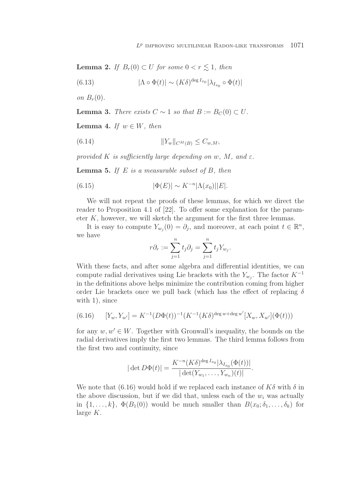**Lemma 2.** If  $B_r(0) \subset U$  for some  $0 < r \leq 1$ , then

(6.13) 
$$
|\Lambda \circ \Phi(t)| \sim (K\delta)^{\deg I_{x_0}} |\lambda_{I_{x_0}} \circ \Phi(t)|
$$

on  $B_r(0)$ .

**Lemma 3.** There exists  $C \sim 1$  so that  $B := B_C(0) \subset U$ .

**Lemma 4.** If  $w \in W$ , then

(6.14) 
$$
||Y_w||_{C^M(B)} \leq C_{w,M},
$$

provided K is sufficiently large depending on w, M, and  $\varepsilon$ .

**Lemma 5.** If  $E$  is a measurable subset of  $B$ , then

(6.15) 
$$
|\Phi(E)| \sim K^{-n} |\Lambda(x_0)| |E|.
$$

We will not repeat the proofs of these lemmas, for which we direct the reader to Proposition 4.1 of [22]. To offer some explanation for the parameter  $K$ , however, we will sketch the argument for the first three lemmas.

It is easy to compute  $Y_{w_i}(0) = \partial_j$ , and moreover, at each point  $t \in \mathbb{R}^n$ , we have

$$
r\partial_r := \sum_{j=1}^n t_j \partial_j = \sum_{j=1}^n t_j Y_{w_j}.
$$

With these facts, and after some algebra and differential identities, we can compute radial derivatives using Lie brackets with the  $Y_{w_i}$ . The factor  $K^{-1}$ in the definitions above helps minimize the contribution coming from higher order Lie brackets once we pull back (which has the effect of replacing  $\delta$ with 1), since

(6.16) 
$$
[Y_w, Y_{w'}] = K^{-1}(D\Phi(t))^{-1}(K^{-1}(K\delta)^{\deg w + \deg w'}[X_w, X_{w'}](\Phi(t)))
$$

for any  $w, w' \in W$ . Together with Gronwall's inequality, the bounds on the radial derivatives imply the first two lemmas. The third lemma follows from the first two and continuity, since

$$
|\det D\Phi(t)| = \frac{K^{-n}(K\delta)^{\deg I_{x_0}}|\lambda_{I_{x_0}}(\Phi(t))|}{|\det(Y_{w_1},\ldots,Y_{w_n})(t)|}.
$$

We note that (6.16) would hold if we replaced each instance of  $K\delta$  with  $\delta$  in the above discussion, but if we did that, unless each of the  $w_i$  was actually in  $\{1,\ldots,k\}$ ,  $\Phi(B_1(0))$  would be much smaller than  $B(x_0;\delta_1,\ldots,\delta_k)$  for large  $K$ .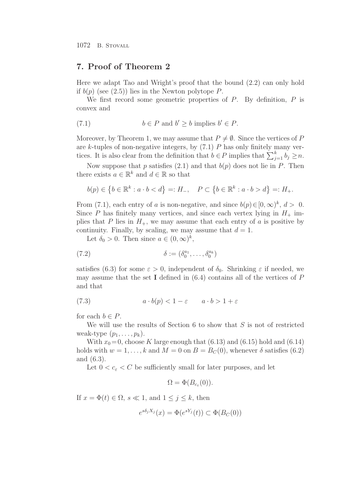#### **7. Proof of Theorem 2**

Here we adapt Tao and Wright's proof that the bound (2.2) can only hold if  $b(p)$  (see (2.5)) lies in the Newton polytope P.

We first record some geometric properties of  $P$ . By definition,  $P$  is convex and

(7.1) 
$$
b \in P \text{ and } b' \ge b \text{ implies } b' \in P.
$$

Moreover, by Theorem 1, we may assume that  $P \neq \emptyset$ . Since the vertices of P are k-tuples of non-negative integers, by  $(7.1)$  P has only finitely many vertices. It is also clear from the definition that  $b \in P$  implies that  $\sum_{j=1}^k b_j \geq n$ .

Now suppose that p satisfies  $(2.1)$  and that  $b(p)$  does not lie in P. Then there exists  $a \in \mathbb{R}^k$  and  $d \in \mathbb{R}$  so that

$$
b(p) \in \left\{ b \in \mathbb{R}^k : a \cdot b < d \right\} =: H_-, \quad P \subset \left\{ b \in \mathbb{R}^k : a \cdot b > d \right\} =: H_+.
$$

From (7.1), each entry of a is non-negative, and since  $b(p) \in [0,\infty)^k$ ,  $d > 0$ . Since P has finitely many vertices, and since each vertex lying in  $H_+$  implies that P lies in  $H_+$ , we may assume that each entry of a is positive by continuity. Finally, by scaling, we may assume that  $d = 1$ .

Let  $\delta_0 > 0$ . Then since  $a \in (0, \infty)^k$ ,

(7.2) 
$$
\delta := (\delta_0^{a_1}, \dots, \delta_0^{a_k})
$$

satisfies (6.3) for some  $\varepsilon > 0$ , independent of  $\delta_0$ . Shrinking  $\varepsilon$  if needed, we may assume that the set **I** defined in  $(6.4)$  contains all of the vertices of P and that

(7.3) 
$$
a \cdot b(p) < 1 - \varepsilon \qquad a \cdot b > 1 + \varepsilon
$$

for each  $b \in P$ .

We will use the results of Section 6 to show that  $S$  is not of restricted weak-type  $(p_1,\ldots,p_k)$ .

With  $x_0=0$ , choose K large enough that (6.13) and (6.15) hold and (6.14) holds with  $w = 1, \ldots, k$  and  $M = 0$  on  $B = B<sub>C</sub>(0)$ , whenever  $\delta$  satisfies (6.2) and (6.3).

Let  $0 < c_{\varepsilon} < C$  be sufficiently small for later purposes, and let

$$
\Omega = \Phi(B_{c_{\varepsilon}}(0)).
$$

If  $x = \Phi(t) \in \Omega$ ,  $s \ll 1$ , and  $1 \leq j \leq k$ , then

$$
e^{s\delta_j X_j}(x) = \Phi(e^{sY_j}(t)) \subset \Phi(B_C(0))
$$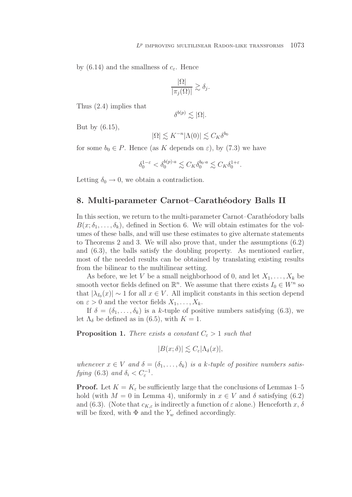by (6.14) and the smallness of  $c_{\varepsilon}$ . Hence

$$
\frac{|\Omega|}{|\pi_j(\Omega)|} \gtrsim \delta_j.
$$

Thus (2.4) implies that

But by (6.15),

$$
|\Omega| \lesssim K^{-n} |\Lambda(0)| \lesssim C_K \delta^{b_0}
$$

 $\delta^{b(p)} \lesssim |\Omega|.$ 

for some  $b_0 \in P$ . Hence (as K depends on  $\varepsilon$ ), by (7.3) we have

$$
\delta_0^{1-\varepsilon} < \delta_0^{b(p)\cdot a} \lesssim C_K \delta_0^{b_0\cdot a} \lesssim C_K \delta_0^{1+\varepsilon}.
$$

Letting  $\delta_0 \rightarrow 0$ , we obtain a contradiction.

# 8. Multi-parameter Carnot–Carathéodory Balls II

In this section, we return to the multi-parameter Carnot–Carathéodory balls  $B(x; \delta_1, \ldots, \delta_k)$ , defined in Section 6. We will obtain estimates for the volumes of these balls, and will use these estimates to give alternate statements to Theorems 2 and 3. We will also prove that, under the assumptions (6.2) and (6.3), the balls satisfy the doubling property. As mentioned earlier, most of the needed results can be obtained by translating existing results from the bilinear to the multilinear setting.

As before, we let V be a small neighborhood of 0, and let  $X_1, \ldots, X_k$  be smooth vector fields defined on  $\mathbb{R}^n$ . We assume that there exists  $I_0 \in W^n$  so that  $|\lambda_{I_0}(x)| \sim 1$  for all  $x \in V$ . All implicit constants in this section depend on  $\varepsilon > 0$  and the vector fields  $X_1, \ldots, X_k$ .

If  $\delta = (\delta_1, \ldots, \delta_k)$  is a k-tuple of positive numbers satisfying (6.3), we let  $\Lambda_{\delta}$  be defined as in (6.5), with  $K = 1$ .

**Proposition 1.** There exists a constant  $C_{\epsilon} > 1$  such that

$$
|B(x;\delta)| \lesssim C_{\varepsilon} |\Lambda_{\delta}(x)|,
$$

whenever  $x \in V$  and  $\delta = (\delta_1, \ldots, \delta_k)$  is a k-tuple of positive numbers satisfying (6.3) and  $\delta_i < C_{\varepsilon}^{-1}$ .

**Proof.** Let  $K = K_{\varepsilon}$  be sufficiently large that the conclusions of Lemmas 1–5 hold (with  $M = 0$  in Lemma 4), uniformly in  $x \in V$  and  $\delta$  satisfying (6.2) and (6.3). (Note that  $c_{K,\varepsilon}$  is indirectly a function of  $\varepsilon$  alone.) Henceforth x,  $\delta$ will be fixed, with  $\Phi$  and the  $Y_w$  defined accordingly.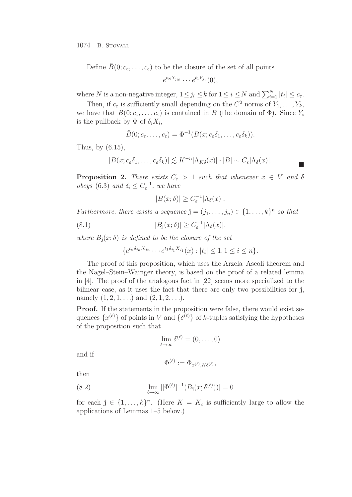1074 B. STOVALL

Define  $B(0; c<sub>\varepsilon</sub>, \ldots, c<sub>\varepsilon</sub>)$  to be the closure of the set of all points

$$
e^{t_N Y_{j_N}} \cdots e^{t_1 Y_{j_1}}(0),
$$

where N is a non-negative integer,  $1 \leq j_i \leq k$  for  $1 \leq i \leq N$  and  $\sum_{i=1}^{N} |t_i| \leq c_{\varepsilon}$ .

Then, if  $c_{\varepsilon}$  is sufficiently small depending on the  $C^0$  norms of  $Y_1, \ldots, Y_k$ , we have that  $\tilde{B}(0; c_{\varepsilon}, \ldots, c_{\varepsilon})$  is contained in B (the domain of  $\Phi$ ). Since  $Y_i$ is the pullback by  $\Phi$  of  $\delta_i X_i$ ,

$$
\tilde{B}(0;c_{\varepsilon},\ldots,c_{\varepsilon})=\Phi^{-1}(B(x;c_{\varepsilon}\delta_1,\ldots,c_{\varepsilon}\delta_k)).
$$

Thus, by (6.15),

$$
|B(x; c_{\varepsilon} \delta_1, \ldots, c_{\varepsilon} \delta_k)| \lesssim K^{-n} |\Lambda_{K\delta}(x)| \cdot |B| \sim C_{\varepsilon} |\Lambda_{\delta}(x)|.
$$

**Proposition 2.** There exists  $C_{\varepsilon} > 1$  such that whenever  $x \in V$  and  $\delta$ obeys (6.3) and  $\delta_i \leq C_{\varepsilon}^{-1}$ , we have

$$
|B(x; \delta)| \ge C_{\varepsilon}^{-1} |\Lambda_{\delta}(x)|.
$$

Furthermore, there exists a sequence  $\mathbf{j} = (j_1, \ldots, j_n) \in \{1, \ldots, k\}^n$  so that

(8.1) 
$$
|B_{\mathbf{j}}(x;\delta)| \geq C_{\varepsilon}^{-1} |\Lambda_{\delta}(x)|,
$$

where  $B_j(x;\delta)$  is defined to be the closure of the set

$$
\{e^{t_n\delta_{j_n}X_{j_n}}\cdots e^{t_1\delta_{j_1}X_{j_1}}(x):|t_i|\leq 1, 1\leq i\leq n\}.
$$

The proof of this proposition, which uses the Arzela–Ascoli theorem and the Nagel–Stein–Wainger theory, is based on the proof of a related lemma in [4]. The proof of the analogous fact in [22] seems more specialized to the bilinear case, as it uses the fact that there are only two possibilities for **j**, namely  $(1, 2, 1, \ldots)$  and  $(2, 1, 2, \ldots)$ .

**Proof.** If the statements in the proposition were false, there would exist sequences  $\{x^{(\ell)}\}$  of points in V and  $\{\delta^{(\ell)}\}$  of k-tuples satisfying the hypotheses of the proposition such that

$$
\lim_{\ell \to \infty} \delta^{(\ell)} = (0, \dots, 0)
$$

and if

$$
\Phi^{(\ell)}:=\Phi_{x^{(\ell)},K\delta^{(\ell)}},
$$

then

(8.2) 
$$
\lim_{\ell \to \infty} |[\Phi^{(\ell)}]^{-1}(B_{\mathbf{j}}(x; \delta^{(\ell)}))| = 0
$$

for each  $j \in \{1, ..., k\}^n$ . (Here  $K = K_{\varepsilon}$  is sufficiently large to allow the applications of Lemmas 1–5 below.)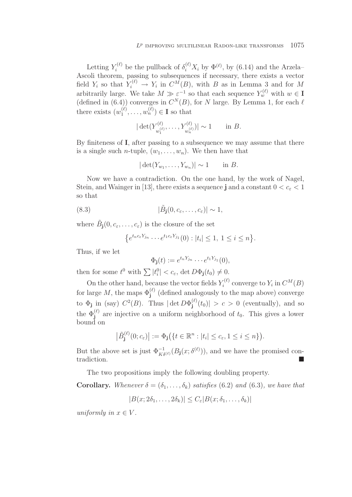Letting  $Y_i^{(\ell)}$  be the pullback of  $\delta_i^{(\ell)} X_i$  by  $\Phi^{(\ell)}$ , by (6.14) and the Arzela-Ascoli theorem, passing to subsequences if necessary, there exists a vector field  $Y_i$  so that  $Y_i^{(\ell)} \to Y_i$  in  $C^M(B)$ , with B as in Lemma 3 and for M arbitrarily large. We take  $M \gg \varepsilon^{-1}$  so that each sequence  $Y_w^{(\ell)}$  with  $w \in \mathbf{I}$ (defined in  $(6.4)$ ) converges in  $C^N(B)$ , for N large. By Lemma 1, for each  $\ell$ there exists  $(w_1^{(\ell)}, \ldots, w_n^{(\ell)}) \in \mathbf{I}$  so that

$$
|\det(Y_{w_1^{(\ell)}}^{(\ell)},\ldots,Y_{w_n^{(\ell)}}^{(\ell)})| \sim 1
$$
 in *B*.

By finiteness of **I**, after passing to a subsequence we may assume that there is a single such *n*-tuple,  $(w_1, \ldots, w_n)$ . We then have that

$$
|\det(Y_{w_1},\ldots,Y_{w_n})| \sim 1 \quad \text{in } B.
$$

Now we have a contradiction. On the one hand, by the work of Nagel, Stein, and Wainger in [13], there exists a sequence **j** and a constant  $0 < c_{\varepsilon} < 1$ so that

(8.3) 
$$
|\tilde{B}_{\mathbf{j}}(0, c_{\varepsilon}, \dots, c_{\varepsilon})| \sim 1,
$$

where  $\tilde{B}_i(0, c_\varepsilon, \ldots, c_\varepsilon)$  is the closure of the set

$$
\{e^{t_n c_{\varepsilon} Y_{j_n}}\cdots e^{t_1 c_{\varepsilon} Y_{j_1}}(0):|t_i|\leq 1,\ 1\leq i\leq n\}.
$$

Thus, if we let

$$
\Phi_{\mathbf{j}}(t) := e^{t_n Y_{j_n}} \cdots e^{t_1 Y_{j_1}}(0),
$$

then for some  $t^0$  with  $\sum |t_i^0| < c_{\varepsilon}$ , det  $D\Phi_{\mathbf{j}}(t_0) \neq 0$ .

On the other hand, because the vector fields  $Y_i^{(\ell)}$  converge to  $Y_i$  in  $C^M(B)$ for large  $M$ , the maps  $\Phi_j^{(\ell)}$  (defined analogously to the map above) converge to  $\Phi_j$  in (say)  $C^2(B)$ . Thus  $|\det D\Phi_j^{(\ell)}(t_0)| > c > 0$  (eventually), and so the  $\Phi_j^{(\ell)}$  are injective on a uniform neighborhood of  $t_0$ . This gives a lower bound on

$$
\left|\tilde{B}_{\mathbf{j}}^{(\ell)}(0;c_{\varepsilon})\right|:=\Phi_{\mathbf{j}}\big(\{t\in\mathbb{R}^n:|t_i|\leq c_{\varepsilon},1\leq i\leq n\}\big).
$$

But the above set is just  $\Phi_{K\delta^{(\ell)}}^{-1}(B_{\mathbf{j}}(x;\delta^{(\ell)}))$ , and we have the promised contradiction.

The two propositions imply the following doubling property.

**Corollary.** Whenever  $\delta = (\delta_1, \ldots, \delta_k)$  satisfies (6.2) and (6.3), we have that

$$
|B(x; 2\delta_1, \dots, 2\delta_k)| \le C_{\varepsilon} |B(x; \delta_1, \dots, \delta_k)|
$$

uniformly in  $x \in V$ .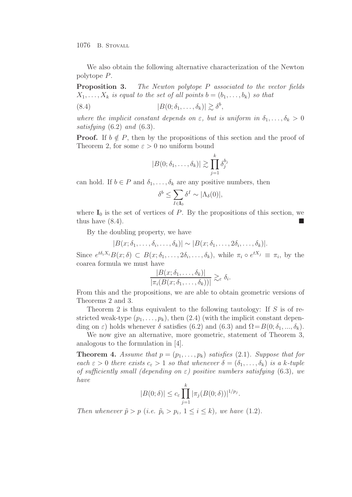We also obtain the following alternative characterization of the Newton polytope P.

**Proposition 3.** The Newton polytope P associated to the vector fields  $X_1, \ldots, X_k$  is equal to the set of all points  $b = (b_1, \ldots, b_k)$  so that

(8.4) 
$$
|B(0;\delta_1,\ldots,\delta_k)| \gtrsim \delta^b,
$$

where the implicit constant depends on  $\varepsilon$ , but is uniform in  $\delta_1,\ldots,\delta_k > 0$ satisfying (6.2) and (6.3).

**Proof.** If  $b \notin P$ , then by the propositions of this section and the proof of Theorem 2, for some  $\varepsilon > 0$  no uniform bound

$$
|B(0;\delta_1,\ldots,\delta_k)| \gtrsim \prod_{j=1}^k \delta_j^{b_j}
$$

can hold. If  $b \in P$  and  $\delta_1, \ldots, \delta_k$  are any positive numbers, then

$$
\delta^b \leq \sum_{I \in \mathbf{I}_0} \delta^I \sim |\Lambda_{\delta}(0)|,
$$

where  $I_0$  is the set of vertices of  $P$ . By the propositions of this section, we thus have  $(8.4)$ .

By the doubling property, we have

$$
|B(x; \delta_1, \ldots, \delta_i, \ldots, \delta_k)| \sim |B(x; \delta_1, \ldots, 2\delta_i, \ldots, \delta_k)|.
$$

Since  $e^{t\delta_i X_i}B(x;\delta) \subset B(x;\delta_1,\ldots, \delta_i,\ldots,\delta_k)$ , while  $\pi_i \circ e^{tX_j} \equiv \pi_i$ , by the coarea formula we must have

$$
\frac{|B(x;\delta_1,\ldots,\delta_k)|}{|\pi_i(B(x;\delta_1,\ldots,\delta_k))|} \gtrsim_{\varepsilon} \delta_i.
$$

From this and the propositions, we are able to obtain geometric versions of Theorems 2 and 3.

Theorem 2 is thus equivalent to the following tautology: If  $S$  is of restricted weak-type  $(p_1, \ldots, p_k)$ , then  $(2.4)$  (with the implicit constant depending on  $\varepsilon$ ) holds whenever  $\delta$  satisfies (6.2) and (6.3) and  $\Omega = B(0; \delta_1, ..., \delta_k)$ .

We now give an alternative, more geometric, statement of Theorem 3, analogous to the formulation in [4].

**Theorem 4.** Assume that  $p = (p_1, \ldots, p_k)$  satisfies (2.1). Suppose that for each  $\varepsilon > 0$  there exists  $c_{\varepsilon} > 1$  so that whenever  $\delta = (\delta_1, \ldots, \delta_k)$  is a k-tuple of sufficiently small (depending on  $\varepsilon$ ) positive numbers satisfying (6.3), we have

$$
|B(0;\delta)| \le c_{\varepsilon} \prod_{j=1}^k |\pi_j(B(0;\delta))|^{1/p_j}.
$$

Then whenever  $\tilde{p} > p$  (i.e.  $\tilde{p}_i > p_i$ ,  $1 \leq i \leq k$ ), we have (1.2).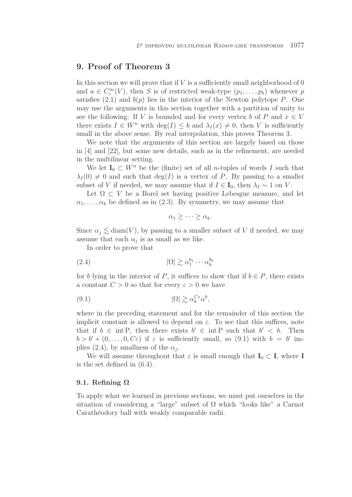# **9. Proof of Theorem 3**

In this section we will prove that if  $V$  is a sufficiently small neighborhood of 0 and  $a \in C_c^{\infty}(V)$ , then S is of restricted weak-type  $(p_1, \ldots, p_k)$  whenever p satisfies  $(2.1)$  and  $b(p)$  lies in the interior of the Newton polytope P. One may use the arguments in this section together with a partition of unity to see the following: If V is bounded and for every vertex b of P and  $x \in V$ there exists  $I \in W^n$  with  $\deg(I) \leq b$  and  $\lambda_I(x) \neq 0$ , then V is sufficiently small in the above sense. By real interpolation, this proves Theorem 3.

We note that the arguments of this section are largely based on those in [4] and [22], but some new details, such as in the refinement, are needed in the multilinear setting.

We let  $I_0 \subset W^n$  be the (finite) set of all *n*-tuples of words I such that  $\lambda_I(0) \neq 0$  and such that  $\deg(I)$  is a vertex of P. By passing to a smaller subset of V if needed, we may assume that if  $I \in I_0$ , then  $\lambda_I \sim 1$  on V.

Let  $\Omega \subset V$  be a Borel set having positive Lebesgue measure, and let  $\alpha_1,\ldots,\alpha_k$  be defined as in (2.3). By symmetry, we may assume that

$$
\alpha_1 \geq \cdots \geq \alpha_k.
$$

Since  $\alpha_j \lesssim \text{diam}(V)$ , by passing to a smaller subset of V if needed, we may assume that each  $\alpha_i$  is as small as we like.

In order to prove that

$$
(2.4) \t\t |\Omega| \gtrsim \alpha_1^{b_1} \cdots \alpha_k^{b_k}
$$

for b lying in the interior of P, it suffices to show that if  $b \in P$ , there exists a constant  $C > 0$  so that for every  $\varepsilon > 0$  we have

$$
(9.1) \t\t |\Omega| \gtrsim \alpha_k^{C\varepsilon} \alpha^b,
$$

where in the preceding statement and for the remainder of this section the implicit constant is allowed to depend on  $\varepsilon$ . To see that this suffices, note that if  $b \in \text{int } P$ , then there exists  $b' \in \text{int } P$  such that  $b' < b$ . Then  $b > b' + (0,\ldots, 0, C\varepsilon)$  if  $\varepsilon$  is sufficiently small, so (9.1) with  $b = b'$  implies (2.4), by smallness of the  $\alpha_i$ .

We will assume throughout that  $\varepsilon$  is small enough that  $\mathbf{I}_0 \subset \mathbf{I}$ , where **I** is the set defined in (6.4).

#### **9.1. Refining Ω**

To apply what we learned in previous sections, we must put ourselves in the situation of considering a "large" subset of  $\Omega$  which "looks like" a Carnot Carathéodory ball with weakly comparable radii.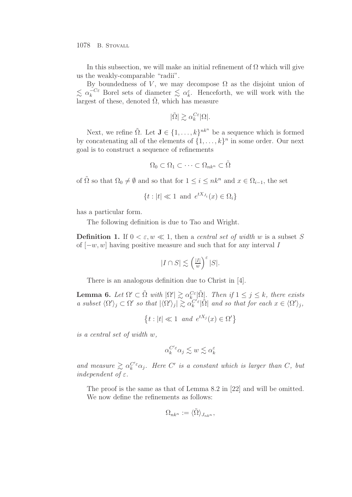In this subsection, we will make an initial refinement of  $\Omega$  which will give us the weakly-comparable "radii".

By boundedness of V, we may decompose  $\Omega$  as the disjoint union of  $\lesssim \alpha_k^{-C\varepsilon}$  Borel sets of diameter  $\lesssim \alpha_k^{\varepsilon}$ . Henceforth, we will work with the largest of these, denoted  $\tilde{\Omega}$ , which has measure

$$
|\tilde{\Omega}|\gtrsim \alpha_k^{C\varepsilon}|\Omega|.
$$

Next, we refine  $\tilde{\Omega}$ . Let  $\mathbf{J} \in \{1, \ldots, k\}^{nk^n}$  be a sequence which is formed by concatenating all of the elements of  $\{1,\ldots,k\}^n$  in some order. Our next goal is to construct a sequence of refinements

$$
\Omega_0 \subset \Omega_1 \subset \cdots \subset \Omega_{nk^n} \subset \tilde{\Omega}
$$

of  $\tilde{\Omega}$  so that  $\Omega_0 \neq \emptyset$  and so that for  $1 \leq i \leq n k^n$  and  $x \in \Omega_{i-1}$ , the set

$$
\{t : |t| \ll 1 \text{ and } e^{tX_{J_i}}(x) \in \Omega_i\}
$$

has a particular form.

The following definition is due to Tao and Wright.

**Definition 1.** If  $0 \leq \varepsilon, w \leq 1$ , then a central set of width w is a subset S of  $[-w, w]$  having positive measure and such that for any interval I

$$
|I \cap S| \lesssim \left(\frac{|I|}{w}\right)^{\varepsilon} |S|.
$$

There is an analogous definition due to Christ in [4].

**Lemma 6.** Let  $\Omega' \subset \tilde{\Omega}$  with  $|\Omega'| \gtrsim \alpha_k^{C\epsilon} |\tilde{\Omega}|$ . Then if  $1 \leq j \leq k$ , there exists a subset  $\langle \Omega' \rangle_j \subset \Omega'$  so that  $|\langle \Omega' \rangle_j| \gtrsim \alpha_k^{C' \varepsilon} |\tilde{\Omega}|$  and so that for each  $x \in \langle \Omega' \rangle_j$ ,

$$
\{t : |t| \ll 1 \text{ and } e^{tX_j}(x) \in \Omega'\}
$$

is a central set of width w,

$$
\alpha_k^{C'\varepsilon}\alpha_j\lesssim w\lesssim \alpha_k^\varepsilon
$$

and measure  $\gtrsim \alpha_k^{C'\varepsilon} \alpha_j$ . Here C' is a constant which is larger than C, but independent of  $\varepsilon$ .

The proof is the same as that of Lemma 8.2 in [22] and will be omitted. We now define the refinements as follows:

$$
\Omega_{n k^n} := \langle \tilde{\Omega} \rangle_{J_{n k^n}},
$$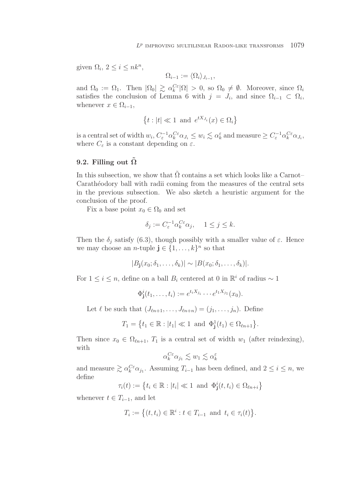given  $\Omega_i$ ,  $2 \leq i \leq n k^n$ ,

$$
\Omega_{i-1} := \langle \Omega_i \rangle_{J_{i-1}},
$$

and  $\Omega_0 := \Omega_1$ . Then  $|\Omega_0| \geq \alpha_k^{C_{\varepsilon}} |\Omega| > 0$ , so  $\Omega_0 \neq \emptyset$ . Moreover, since  $\Omega_i$ satisfies the conclusion of Lemma 6 with  $j = J_i$ , and since  $\Omega_{i-1} \subset \Omega_i$ , whenever  $x \in \Omega_{i-1}$ ,

$$
\{t : |t| \ll 1 \text{ and } e^{tX_{J_i}}(x) \in \Omega_i\}
$$

is a central set of width  $w_i$ ,  $C_{\varepsilon}^{-1} \alpha_k^{C\varepsilon} \alpha_{J_i} \leq w_i \lesssim \alpha_k^{\varepsilon}$  and measure  $\geq C_{\varepsilon}^{-1} \alpha_k^{C\varepsilon} \alpha_{J_i}$ , where  $C_{\varepsilon}$  is a constant depending on  $\varepsilon$ .

#### 9.2. Filling out  $\tilde{\Omega}$

In this subsection, we show that  $\tilde{\Omega}$  contains a set which looks like a Carnot– Carathéodory ball with radii coming from the measures of the central sets in the previous subsection. We also sketch a heuristic argument for the conclusion of the proof.

Fix a base point  $x_0 \in \Omega_0$  and set

$$
\delta_j := C_{\varepsilon}^{-1} \alpha_k^{C\varepsilon} \alpha_j, \quad 1 \le j \le k.
$$

Then the  $\delta_j$  satisfy (6.3), though possibly with a smaller value of  $\varepsilon$ . Hence we may choose an *n*-tuple  $\mathbf{j} \in \{1, \ldots, k\}^n$  so that

$$
|B_{\mathbf{j}}(x_0;\delta_1,\ldots,\delta_k)| \sim |B(x_0;\delta_1,\ldots,\delta_k)|.
$$

For  $1 \leq i \leq n$ , define on a ball  $B_i$  centered at 0 in  $\mathbb{R}^i$  of radius ~ 1

 $\Phi_{\bf j}^i(t_1,\ldots,t_i) := e^{t_i X_{j_i}} \cdots e^{t_1 X_{j_1}}(x_0).$ 

Let  $\ell$  be such that  $(J_{\ell n+1},\ldots,J_{\ell n+n})=(j_1,\ldots,j_n)$ . Define

$$
T_1 = \{t_1 \in \mathbb{R} : |t_1| \ll 1 \text{ and } \Phi_{\mathbf{j}}^1(t_1) \in \Omega_{\ell n+1}\}.
$$

Then since  $x_0 \in \Omega_{\ell n+1}$ ,  $T_1$  is a central set of width  $w_1$  (after reindexing), with

$$
\alpha_k^{C\varepsilon} \alpha_{j_1} \lesssim w_1 \lesssim \alpha_k^\varepsilon
$$

and measure  $\geq \alpha_k^{C\epsilon} \alpha_{j_1}$ . Assuming  $T_{i-1}$  has been defined, and  $2 \leq i \leq n$ , we define

$$
\tau_i(t) := \left\{ t_i \in \mathbb{R} : |t_i| \ll 1 \text{ and } \Phi_{\mathbf{j}}^i(t, t_i) \in \Omega_{\ell n + i} \right\}
$$

whenever  $t \in T_{i-1}$ , and let

$$
T_i := \left\{ (t, t_i) \in \mathbb{R}^i : t \in T_{i-1} \text{ and } t_i \in \tau_i(t) \right\}.
$$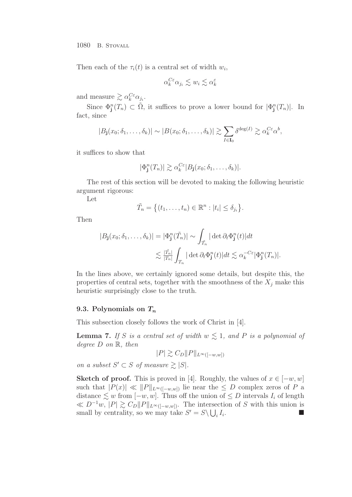Then each of the  $\tau_i(t)$  is a central set of width  $w_i$ ,

$$
\alpha_k^{C\varepsilon}\alpha_{j_i}\lesssim w_i\lesssim \alpha_k^\varepsilon
$$

and measure  $\gtrsim \alpha_k^{C\varepsilon} \alpha_{j_i}$ .

Since  $\Phi_{\mathbf{j}}^n(T_n) \subset \tilde{\Omega}$ , it suffices to prove a lower bound for  $|\Phi_{\mathbf{j}}^n(T_n)|$ . In fact, since

$$
|B_{\mathbf{j}}(x_0;\delta_1,\ldots,\delta_k)| \sim |B(x_0;\delta_1,\ldots,\delta_k)| \gtrsim \sum_{I \in \mathbf{I}_0} \delta^{\deg(I)} \gtrsim \alpha_k^{C\varepsilon} \alpha^b,
$$

it suffices to show that

$$
|\Phi_{\mathbf{j}}^n(T_n)| \gtrsim \alpha_k^{C\varepsilon} |B_{\mathbf{j}}(x_0;\delta_1,\ldots,\delta_k)|.
$$

The rest of this section will be devoted to making the following heuristic argument rigorous:

Let

$$
\tilde{T}_n = \big\{ (t_1, \ldots, t_n) \in \mathbb{R}^n : |t_i| \leq \delta_{j_i} \big\}.
$$

Then

$$
|B_{\mathbf{j}}(x_0;\delta_1,\ldots,\delta_k)| = |\Phi_{\mathbf{j}}^n(\tilde{T}_n)| \sim \int_{\tilde{T}_n} |\det \partial_t \Phi_{\mathbf{j}}^n(t)| dt
$$
  

$$
\lesssim \frac{|\tilde{T}_n|}{|T_n|} \int_{T_n} |\det \partial_t \Phi_{\mathbf{j}}^n(t)| dt \lesssim \alpha_k^{-C\varepsilon} |\Phi_{\mathbf{j}}^n(T_n)|.
$$

In the lines above, we certainly ignored some details, but despite this, the properties of central sets, together with the smoothness of the  $X_i$  make this heuristic surprisingly close to the truth.

#### **9.3. Polynomials on** *T<sup>n</sup>*

This subsection closely follows the work of Christ in [4].

**Lemma 7.** If S is a central set of width  $w \lesssim 1$ , and P is a polynomial of degree  $D$  on  $\mathbb{R}$ , then

$$
|P| \gtrsim C_D \|P\|_{L^{\infty}([-w,w])}
$$

on a subset  $S' \subset S$  of measure  $\geq |S|$ .

**Sketch of proof.** This is proved in [4]. Roughly, the values of  $x \in [-w, w]$ such that  $|P(x)| \ll ||P||_{L^{\infty}([-w,w])}$  lie near the  $\leq D$  complex zeros of P a distance  $\leq w$  from  $[-w, w]$ . Thus off the union of  $\leq D$  intervals  $I_i$  of length  $\ll D^{-1}w, |P| \gtrsim C_D ||P||_{L^{\infty}([-w,w])}.$  The intersection of S with this union is small by centrality, so we may take  $S' = S \setminus \bigcup_i I_i$ .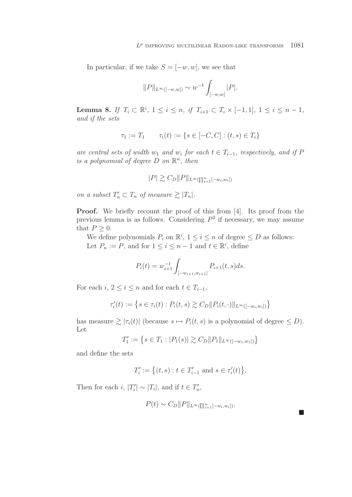In particular, if we take  $S = [-w, w]$ , we see that

$$
||P||_{L^{\infty}([-w,w])} \sim w^{-1} \int_{[-w,w]} |P|.
$$

**Lemma 8.** If  $T_i \subset \mathbb{R}^i$ ,  $1 \leq i \leq n$ , if  $T_{i+1} \subset T_i \times [-1,1]$ ,  $1 \leq i \leq n-1$ , and if the sets

$$
\tau_1 := T_1 \qquad \tau_i(t) := \{ s \in [-C, C] : (t, s) \in T_i \}
$$

are central sets of width w<sub>1</sub> and w<sub>i</sub> for each  $t \in T_{i-1}$ , respectively, and if P is a polynomial of degree  $D$  on  $\mathbb{R}^n$ , then

$$
|P| \gtrsim C_D ||P||_{L^{\infty}(\prod_{i=1}^n [-w_i, w_i])}
$$

on a subset  $T'_n \subset T_n$  of measure  $\gtrsim |T_n|$ .

**Proof.** We briefly recount the proof of this from [4]. Its proof from the previous lemma is as follows. Considering  $P^2$  if necessary, we may assume that  $P \geq 0$ .

We define polynomials  $P_i$  on  $\mathbb{R}^i$ ,  $1 \leq i \leq n$  of degree  $\leq D$  as follows: Let  $P_n := P$ , and for  $1 \leq i \leq n-1$  and  $t \in \mathbb{R}^i$ , define

$$
P_i(t) = w_{i+1}^{-1} \int_{[-w_{i+1}, w_{i+1}]} P_{i+1}(t, s) ds.
$$

For each  $i, 2 \leq i \leq n$  and for each  $t \in T_{i-1}$ ,

$$
\tau'_{i}(t) := \left\{ s \in \tau_{i}(t) : P_{i}(t, s) \gtrsim C_{D} || P_{i}(t, \cdot) ||_{L^{\infty}([-w_{i}, w_{i}])} \right\}
$$

has measure  $\geq |\tau_i(t)|$  (because  $s \mapsto P_i(t, s)$  is a polynomial of degree  $\leq D$ ). Let

$$
T_1' := \left\{ s \in T_1 : |P_1(s)| \gtrsim C_D ||P_1||_{L^{\infty}([-w_1, w_1])} \right\}
$$

and define the sets

$$
T_i':=\big\{(t,s):t\in T_{i-1}'\text{ and }s\in\tau_i'(t)\big\}.
$$

Then for each i,  $|T'_i| \sim |T_i|$ , and if  $t \in T'_n$ ,

$$
P(t) \sim C_D ||P||_{L^{\infty}(\prod_{i=1}^n [-w_i, w_i])}.
$$

**COL**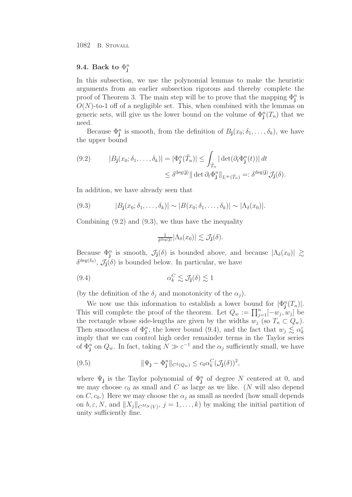# 9.4. Back to  $\Phi^n_j$

In this subsection, we use the polynomial lemmas to make the heuristic arguments from an earlier subsection rigorous and thereby complete the proof of Theorem 3. The main step will be to prove that the mapping  $\Phi_{\mathbf{j}}^n$  is  $O(N)$ -to-1 off of a negligible set. This, when combined with the lemmas on generic sets, will give us the lower bound on the volume of  $\Phi_{\mathbf{j}}^n(T_n)$  that we need.

Because  $\Phi_{\mathbf{j}}^n$  is smooth, from the definition of  $B_{\mathbf{j}}(x_0;\delta_1,\ldots,\delta_k)$ , we have the upper bound

(9.2) 
$$
|B_{\mathbf{j}}(x_0; \delta_1, \dots, \delta_k)| = |\Phi_{\mathbf{j}}^n(\tilde{T}_n)| \leq \int_{\tilde{T}_n} |\det(\partial_t \Phi_{\mathbf{j}}^n(t))| dt
$$

$$
\leq \delta^{\deg(\mathbf{j})} || \det \partial_t \Phi_{\mathbf{j}}^n ||_{L^{\infty}(\tilde{T}_n)} =: \delta^{\deg(\mathbf{j})} \mathcal{J}_{\mathbf{j}}(\delta).
$$

In addition, we have already seen that

(9.3) 
$$
|B_{\mathbf{j}}(x_0;\delta_1,\ldots,\delta_k)| \sim |B(x_0;\delta_1,\ldots,\delta_k)| \sim |\Lambda_{\delta}(x_0)|.
$$

Combining (9.2) and (9.3), we thus have the inequality

$$
\frac{1}{\delta^{\deg(\mathbf{j})}}|\Lambda_{\delta}(x_0)| \lesssim \mathcal{J}_{\mathbf{j}}(\delta).
$$

Because  $\Phi_{\mathbf{j}}^n$  is smooth,  $\mathcal{J}_{\mathbf{j}}(\delta)$  is bounded above, and because  $|\Lambda_{\delta}(x_0)| \gtrsim$  $\delta^{\deg(I_0)}$ ,  $\mathcal{J}_j(\delta)$  is bounded below. In particular, we have

$$
\alpha_k^C \lesssim \mathcal{J}_j(\delta) \lesssim 1
$$

(by the definition of the  $\delta_i$  and monotonicity of the  $\alpha_i$ ).

We now use this information to establish a lower bound for  $|\Phi_{\mathbf{j}}^n(T_n)|$ . This will complete the proof of the theorem. Let  $Q_w := \prod_{j=1}^n [-w_j, w_j]$  be the rectangle whose side-lengths are given by the widths  $w_j$  (so  $T_n \subset Q_w$ ). Then smoothness of  $\Phi_{\mathbf{j}}^n$ , the lower bound (9.4), and the fact that  $w_j \lesssim \alpha_k^{\varepsilon}$ imply that we can control high order remainder terms in the Taylor series of  $\Phi_{\mathbf{j}}^n$  on  $Q_w$ . In fact, taking  $N \gg \varepsilon^{-1}$  and the  $\alpha_j$  sufficiently small, we have

(9.5) 
$$
\|\Psi_{\mathbf{j}} - \Phi_{\mathbf{j}}^n\|_{C^2(Q_w)} \leq c_0 \alpha_k^C (\mathcal{J}_{\mathbf{j}}(\delta))^2,
$$

where  $\Psi_j$  is the Taylor polynomial of  $\Phi_j^n$  of degree N centered at 0, and we may choose  $c_0$  as small and C as large as we like. (N will also depend on  $C, c_0$ .) Here we may choose the  $\alpha_i$  as small as needed (how small depends on  $b, \varepsilon, N$ , and  $||X_j||_{C^{M_N}(V)}, j = 1, \ldots, k$  by making the initial partition of unity sufficiently fine.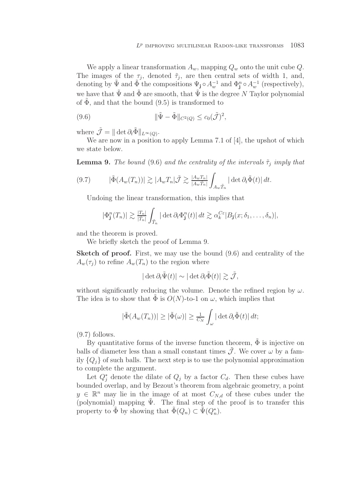We apply a linear transformation  $A_w$ , mapping  $Q_w$  onto the unit cube  $Q$ . The images of the  $\tau_j$ , denoted  $\tilde{\tau}_j$ , are then central sets of width 1, and, denoting by  $\tilde{\Psi}$  and  $\tilde{\Phi}$  the compositions  $\Psi_j \circ A_w^{-1}$  and  $\Phi_j^n \circ A_w^{-1}$  (respectively), we have that  $\tilde{\Psi}$  and  $\tilde{\Phi}$  are smooth, that  $\tilde{\Psi}$  is the degree N Taylor polynomial of  $\tilde{\Phi}$ , and that the bound (9.5) is transformed to

(9.6) 
$$
\|\tilde{\Psi} - \tilde{\Phi}\|_{C^2(Q)} \leq c_0(\tilde{\mathcal{J}})^2,
$$

where  $\tilde{\mathcal{J}} = \|\det \partial_t \tilde{\Phi}\|_{L^{\infty}(Q)}.$ 

We are now in a position to apply Lemma 7.1 of [4], the upshot of which we state below.

**Lemma 9.** The bound (9.6) and the centrality of the intervals  $\tilde{\tau}_j$  imply that

$$
(9.7) \qquad |\tilde{\Phi}(A_w(T_n))| \gtrsim |A_w T_n| \tilde{\mathcal{J}} \gtrsim \frac{|A_w T_n|}{|A_w \tilde{T}_n|} \int_{A_w \tilde{T}_n} |\det \partial_t \tilde{\Phi}(t)| dt.
$$

Undoing the linear transformation, this implies that

$$
|\Phi_{\mathbf{j}}^n(T_n)| \gtrsim \frac{|T_n|}{|\tilde{T}_n|} \int_{\tilde{T}_n} |\det \partial_t \Phi_{\mathbf{j}}^n(t)| dt \gtrsim \alpha_k^{C\varepsilon} |B_{\mathbf{j}}(x; \delta_1, \dots, \delta_n)|,
$$

and the theorem is proved.

We briefly sketch the proof of Lemma 9.

**Sketch of proof.** First, we may use the bound  $(9.6)$  and centrality of the  $A_w(\tau_i)$  to refine  $A_w(T_n)$  to the region where

$$
|\det \partial_t \tilde{\Psi}(t)| \sim |\det \partial_t \tilde{\Phi}(t)| \gtrsim \tilde{\mathcal{J}},
$$

without significantly reducing the volume. Denote the refined region by  $\omega$ . The idea is to show that  $\Phi$  is  $O(N)$ -to-1 on  $\omega$ , which implies that

$$
|\tilde{\Phi}(A_w(T_n))| \geq |\tilde{\Phi}(\omega)| \geq \frac{1}{C_N} \int_{\omega} |\det \partial_t \tilde{\Phi}(t)| dt;
$$

 $(9.7)$  follows.

By quantitative forms of the inverse function theorem,  $\Phi$  is injective on balls of diameter less than a small constant times  $\hat{J}$ . We cover  $\omega$  by a family  $\{Q_i\}$  of such balls. The next step is to use the polynomial approximation to complete the argument.

Let  $Q_i^*$  denote the dilate of  $Q_i$  by a factor  $C_d$ . Then these cubes have bounded overlap, and by Bezout's theorem from algebraic geometry, a point  $y \in \mathbb{R}^n$  may lie in the image of at most  $C_{N,d}$  of these cubes under the (polynomial) mapping  $\Psi$ . The final step of the proof is to transfer this property to  $\tilde{\Phi}$  by showing that  $\tilde{\Phi}(Q_n) \subset \tilde{\Psi}(Q_n^*)$ .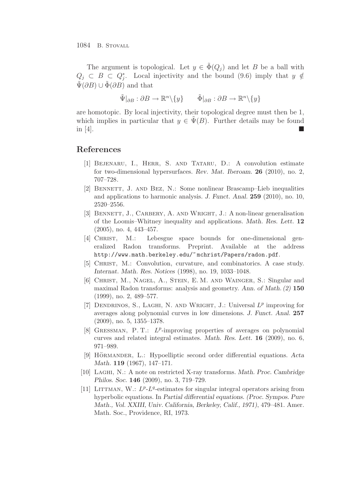The argument is topological. Let  $y \in \Phi(Q_i)$  and let B be a ball with  $Q_j \subset B \subset Q_i^*$ . Local injectivity and the bound (9.6) imply that  $y \notin$  $\Psi(\partial B) \cup \Phi(\partial B)$  and that

$$
\tilde{\Psi}|_{\partial B} : \partial B \to \mathbb{R}^n \setminus \{y\} \qquad \tilde{\Phi}|_{\partial B} : \partial B \to \mathbb{R}^n \setminus \{y\}
$$

are homotopic. By local injectivity, their topological degree must then be 1, which implies in particular that  $y \in \Psi(B)$ . Further details may be found in  $[4]$ .

# **References**

- [1] Bejenaru, I., Herr, S. and Tataru, D.: A convolution estimate for two-dimensional hypersurfaces. *Rev. Mat. Iberoam.* **26** (2010), no. 2, 707–728.
- [2] Bennett, J. and Bez, N.: Some nonlinear Brascamp–Lieb inequalities and applications to harmonic analysis. *J. Funct. Anal.* **259** (2010), no. 10, 2520–2556.
- [3] BENNETT, J., CARBERY, A. AND WRIGHT, J.: A non-linear generalisation of the Loomis–Whitney inequality and applications. *Math. Res. Lett.* **12** (2005), no. 4, 443–457.
- [4] Christ, M.: Lebesgue space bounds for one-dimensional generalized Radon transforms. Preprint. Available at the address http://www.math.berkeley.edu/~ mchrist/Papers/radon.pdf.
- [5] Christ, M.: Convolution, curvature, and combinatorics. A case study. *Internat. Math. Res. Notices* (1998), no. 19, 1033–1048.
- [6] Christ, M., Nagel, A., Stein, E. M. and Wainger, S.: Singular and maximal Radon transforms: analysis and geometry. *Ann. of Math. (2)* **150** (1999), no. 2, 489–577.
- [7] Dendrinos, S., Laghi, N. and Wright, J.: Universal *L*<sup>p</sup> improving for averages along polynomial curves in low dimensions. *J. Funct. Anal.* **257** (2009), no. 5, 1355–1378.
- [8] GRESSMAN, P.T.: L<sup>p</sup>-improving properties of averages on polynomial curves and related integral estimates. *Math. Res. Lett.* **16** (2009), no. 6, 971–989.
- [9] HÖRMANDER, L.: Hypoelliptic second order differential equations. Acta *Math.* **119** (1967), 147–171.
- [10] Laghi, N.: A note on restricted X-ray transforms. *Math. Proc. Cambridge Philos. Soc.* **146** (2009), no. 3, 719–729.
- [11] LITTMAN, W.:  $L^p L^q$ -estimates for singular integral operators arising from hyperbolic equations. In *Partial differential equations. (Proc. Sympos. Pure Math., Vol. XXIII, Univ. California, Berkeley, Calif., 1971)*, 479–481. Amer. Math. Soc., Providence, RI, 1973.